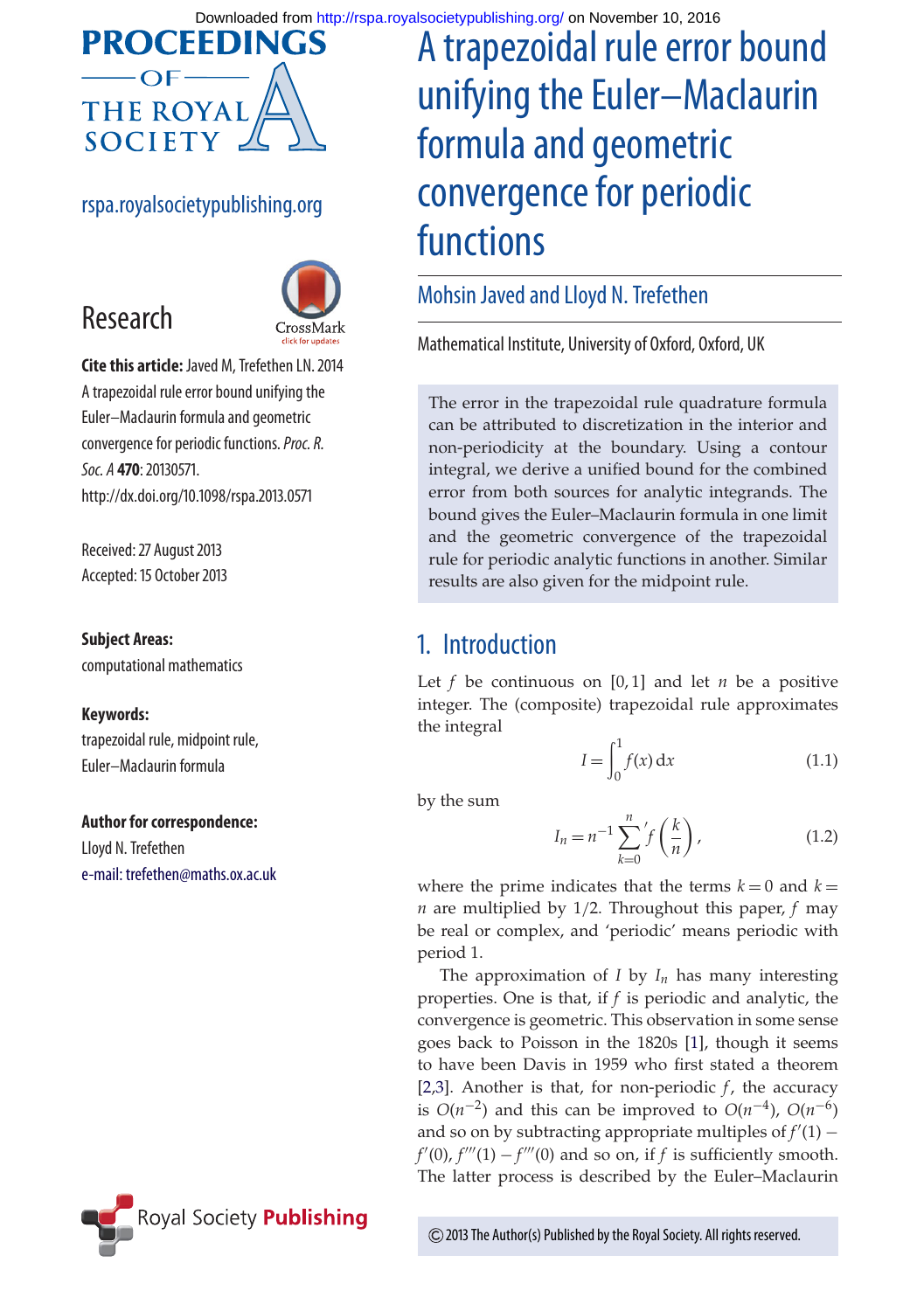

#### rspa.royalsocietypublishing.org



**Cite this article:** Javed M, Trefethen LN. 2014 A trapezoidal rule error bound unifying the Euler–Maclaurin formula and geometric convergence for periodic functions.*Proc. R. Soc. A* **470**: 20130571. http://dx.doi.org/10.1098/rspa.2013.0571

Received: 27 August 2013 Accepted: 15 October 2013

#### **Subject Areas:**

Research

computational mathematics

#### **Keywords:**

trapezoidal rule, midpoint rule, Euler–Maclaurin formula

#### **Author for correspondence:**

Lloyd N. Trefethen [e-mail: trefethen@maths.ox.ac.uk](mailto:trefethen@maths.ox.ac.uk)



# A trapezoidal rule error bound unifying the Euler–Maclaurin formula and geometric convergence for periodic functions

#### Mohsin Javed and Lloyd N. Trefethen

Mathematical Institute, University of Oxford, Oxford, UK

The error in the trapezoidal rule quadrature formula can be attributed to discretization in the interior and non-periodicity at the boundary. Using a contour integral, we derive a unified bound for the combined error from both sources for analytic integrands. The bound gives the Euler–Maclaurin formula in one limit and the geometric convergence of the trapezoidal rule for periodic analytic functions in another. Similar results are also given for the midpoint rule.

## 1. Introduction

Let  $f$  be continuous on  $[0, 1]$  and let  $n$  be a positive integer. The (composite) trapezoidal rule approximates the integral

$$
I = \int_0^1 f(x) \, \mathrm{d}x \tag{1.1}
$$

by the sum

$$
I_n = n^{-1} \sum_{k=0}^{n} f\left(\frac{k}{n}\right),\tag{1.2}
$$

where the prime indicates that the terms  $k = 0$  and  $k =$ *n* are multiplied by 1/2. Throughout this paper, *f* may be real or complex, and 'periodic' means periodic with period 1.

The approximation of  $I$  by  $I_n$  has many interesting properties. One is that, if *f* is periodic and analytic, the convergence is geometric. This observation in some sense goes back to Poisson in the 1820s [\[1\]](#page-7-0), though it seems to have been Davis in 1959 who first stated a theorem [\[2,](#page-7-1)[3\]](#page-8-0). Another is that, for non-periodic *f*, the accuracy is  $O(n^{-2})$  and this can be improved to  $O(n^{-4})$ ,  $O(n^{-6})$ and so on by subtracting appropriate multiples of  $f'(1)$  –  $f'(0)$ ,  $f'''(1) - f'''(0)$  and so on, if *f* is sufficiently smooth. The latter process is described by the Euler–Maclaurin

2013 The Author(s) Published by the Royal Society. All rights reserved.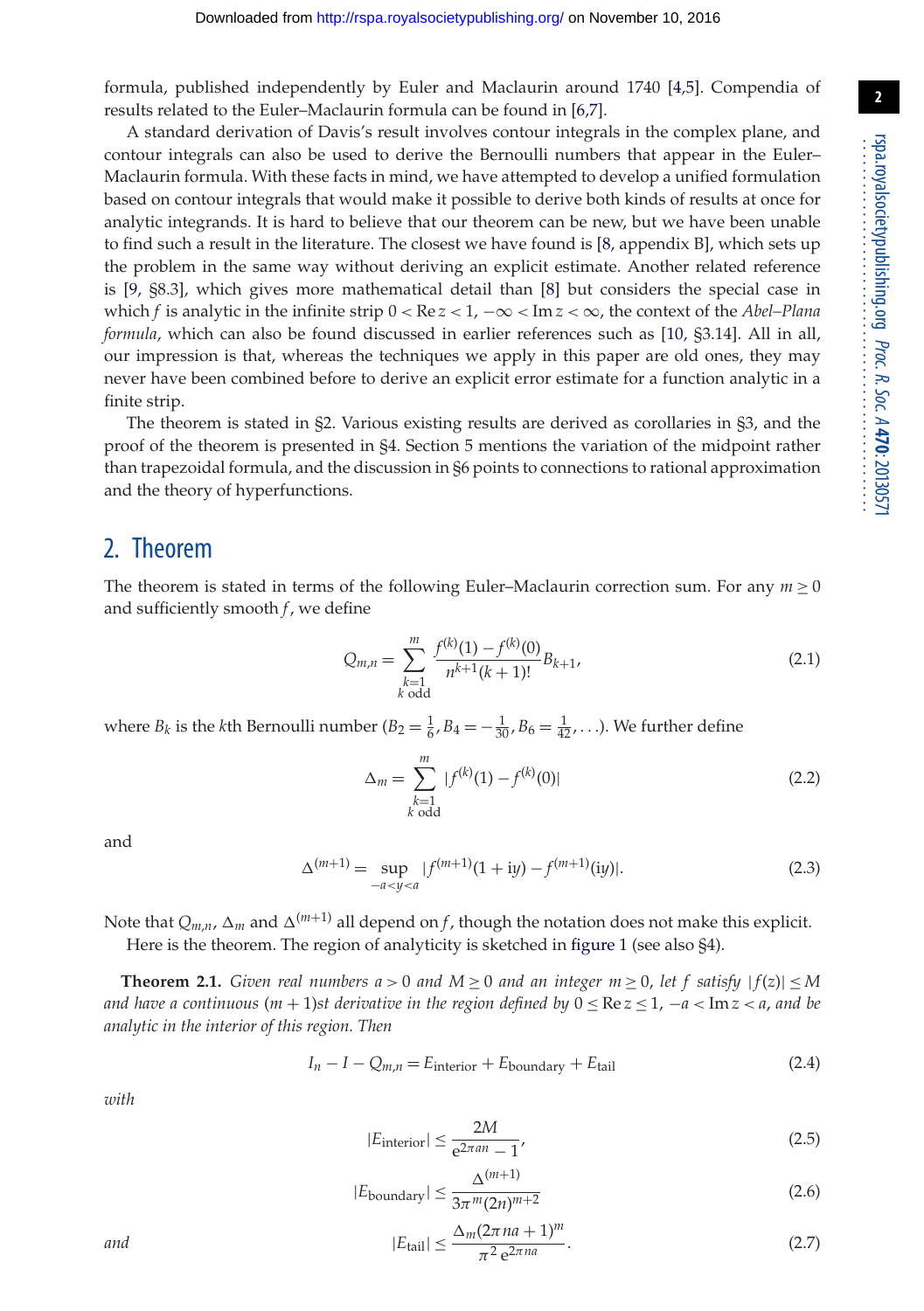formula, published independently by Euler and Maclaurin around 1740 [\[4](#page-8-1)[,5\]](#page-8-2). Compendia of results related to the Euler–Maclaurin formula can be found in [\[6](#page-8-3)[,7\]](#page-8-4).

A standard derivation of Davis's result involves contour integrals in the complex plane, and contour integrals can also be used to derive the Bernoulli numbers that appear in the Euler– Maclaurin formula. With these facts in mind, we have attempted to develop a unified formulation based on contour integrals that would make it possible to derive both kinds of results at once for analytic integrands. It is hard to believe that our theorem can be new, but we have been unable to find such a result in the literature. The closest we have found is [\[8,](#page-8-5) appendix B], which sets up the problem in the same way without deriving an explicit estimate. Another related reference is [\[9,](#page-8-6) §8.3], which gives more mathematical detail than [\[8\]](#page-8-5) but considers the special case in which *f* is analytic in the infinite strip  $0 < \text{Re } z < 1$ ,  $-\infty < \text{Im } z < \infty$ , the context of the *Abel–Plana formula*, which can also be found discussed in earlier references such as [\[10,](#page-8-7) §3.14]. All in all, our impression is that, whereas the techniques we apply in this paper are old ones, they may never have been combined before to derive an explicit error estimate for a function analytic in a finite strip.

The theorem is stated in §2. Various existing results are derived as corollaries in §3, and the proof of the theorem is presented in §4. Section 5 mentions the variation of the midpoint rather than trapezoidal formula, and the discussion in §6 points to connections to rational approximation and the theory of hyperfunctions.

## 2. Theorem

The theorem is stated in terms of the following Euler–Maclaurin correction sum. For any  $m \geq 0$ and sufficiently smooth *f*, we define

$$
Q_{m,n} = \sum_{\substack{k=1\\k \text{ odd}}}^{m} \frac{f^{(k)}(1) - f^{(k)}(0)}{n^{k+1}(k+1)!} B_{k+1},\tag{2.1}
$$

where  $B_k$  is the *k*th Bernoulli number  $(B_2 = \frac{1}{6}, B_4 = -\frac{1}{30}, B_6 = \frac{1}{42}, \ldots)$ . We further define

$$
\Delta_m = \sum_{\substack{k=1\\k \text{ odd}}}^m |f^{(k)}(1) - f^{(k)}(0)| \tag{2.2}
$$

and

$$
\Delta^{(m+1)} = \sup_{-a < y < a} |f^{(m+1)}(1 + iy) - f^{(m+1)}(iy)|. \tag{2.3}
$$

Note that  $Q_{m,n}$ ,  $\Delta_m$  and  $\Delta^{(m+1)}$  all depend on *f*, though the notation does not make this explicit.

Here is the theorem. The region of analyticity is sketched in [figure 1](#page-2-0) (see also §4).

**Theorem 2.1.** *Given real numbers a* > 0 *and*  $M \ge 0$  *and an integer m*  $\ge 0$ , *let f satisfy*  $|f(z)| \le M$ *and have a continuous* ( $m + 1$ )*st derivative in the region defined by*  $0 \leq \text{Re } z \leq 1$ ,  $-a < \text{Im } z < a$ , and be *analytic in the interior of this region. Then*

$$
I_n - I - Q_{m,n} = E_{\text{interior}} + E_{\text{boundary}} + E_{\text{tail}} \tag{2.4}
$$

*with*

$$
|E_{\text{interior}}| \le \frac{2M}{e^{2\pi a n} - 1},\tag{2.5}
$$

$$
|E_{\text{boundary}}| \le \frac{\Delta^{(m+1)}}{3\pi^m (2n)^{m+2}}\tag{2.6}
$$

$$
|E_{\text{tail}}| \le \frac{\Delta_m (2\pi n a + 1)^m}{\pi^2 \,\mathrm{e}^{2\pi n a}}.\tag{2.7}
$$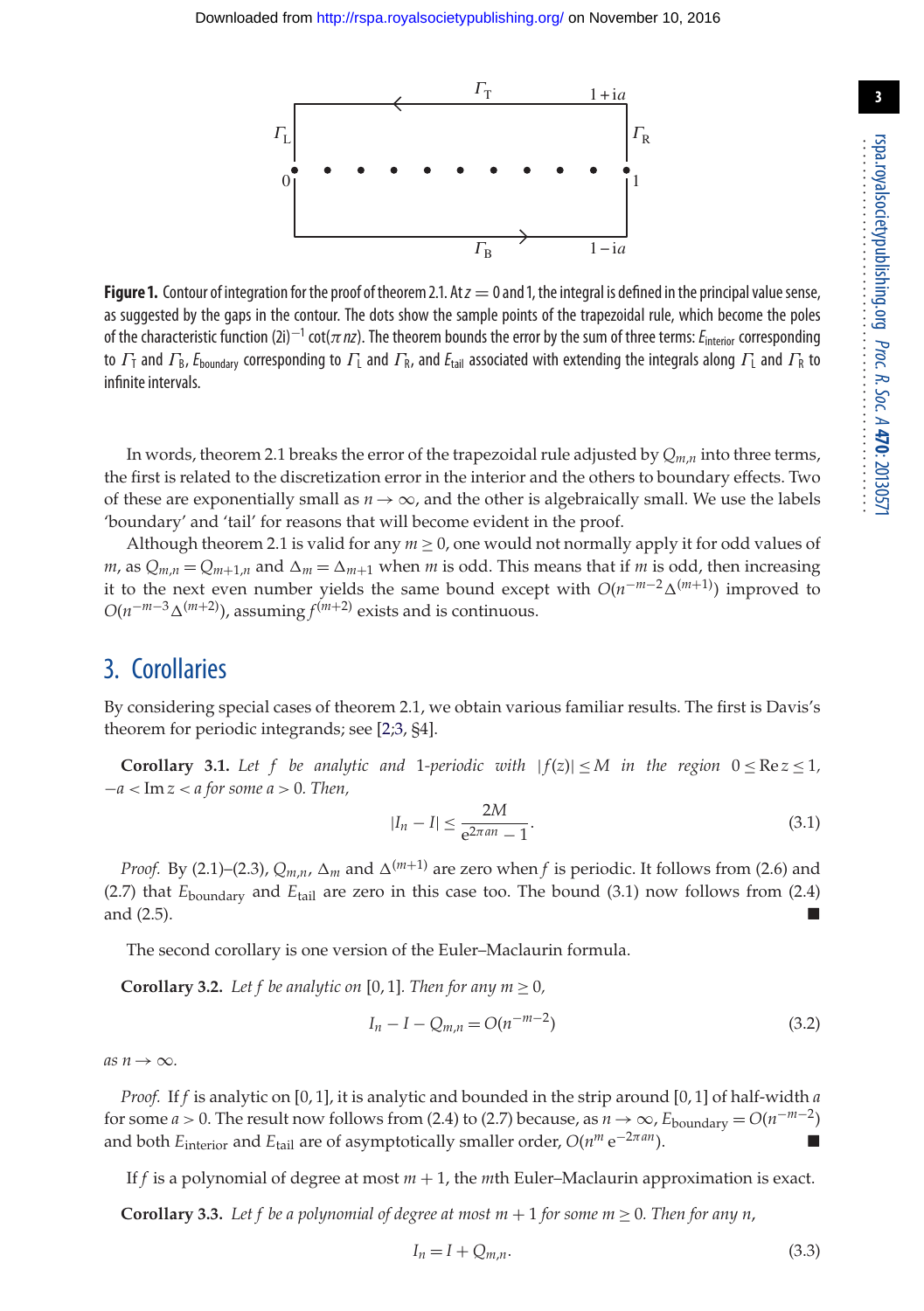

<span id="page-2-0"></span>**Figure 1.** Contour of integration for the proof of theorem 2.1. At  $z = 0$  and 1, the integral is defined in the principal value sense, as suggested by the gaps in the contour. The dots show the sample points of the trapezoidal rule, which become the poles of the characteristic function (2i)<sup>−</sup><sup>1</sup> cot(π*nz*). The theorem bounds the error by the sum of three terms:*E*interior corresponding to  $\Gamma_1$  and  $\Gamma_8$ ,  $E_{\text{boundary}}$  corresponding to  $\Gamma_1$  and  $\Gamma_8$ , and  $E_{\text{tail}}$  associated with extending the integrals along  $\Gamma_1$  and  $\Gamma_8$  to infinite intervals.

In words, theorem 2.1 breaks the error of the trapezoidal rule adjusted by *Qm*,*n* into three terms, the first is related to the discretization error in the interior and the others to boundary effects. Two of these are exponentially small as  $n \to \infty$ , and the other is algebraically small. We use the labels 'boundary' and 'tail' for reasons that will become evident in the proof.

Although theorem 2.1 is valid for any  $m > 0$ , one would not normally apply it for odd values of *m*, as  $Q_{m,n} = Q_{m+1,n}$  and  $\Delta_m = \Delta_{m+1}$  when *m* is odd. This means that if *m* is odd, then increasing it to the next even number yields the same bound except with *O*(*n*−*m*−2-(*m*<sup>+</sup>1)) improved to  $O(n^{-m-3}\Delta^{(m+2)})$ , assuming  $f^{(m+2)}$  exists and is continuous.

# 3. Corollaries

By considering special cases of theorem 2.1, we obtain various familiar results. The first is Davis's theorem for periodic integrands; see [\[2;](#page-7-1)[3,](#page-8-0) §4].

**Corollary 3.1.** Let f be analytic and 1-periodic with  $|f(z)| \leq M$  in the region  $0 \leq \text{Re } z \leq 1$ , −*a* < Im *z* < *a for some a* > 0*. Then,*

$$
|I_n - I| \le \frac{2M}{e^{2\pi a n} - 1}.\tag{3.1}
$$

*Proof.* By (2.1)–(2.3),  $Q_{m,n}$ ,  $\Delta_m$  and  $\Delta^{(m+1)}$  are zero when *f* is periodic. It follows from (2.6) and (2.7) that *E*boundary and *E*tail are zero in this case too. The bound (3.1) now follows from (2.4) and  $(2.5)$ .

The second corollary is one version of the Euler–Maclaurin formula.

**Corollary 3.2.** *Let f be analytic on* [0, 1]*. Then for any m*  $\geq$  0*,* 

$$
I_n - I - Q_{m,n} = O(n^{-m-2})
$$
\n(3.2)

 $as n \rightarrow \infty$ .

*Proof.* If *f* is analytic on [0, 1], it is analytic and bounded in the strip around [0, 1] of half-width *a* for some *a* > 0. The result now follows from (2.4) to (2.7) because, as  $n \to \infty$ ,  $E_{\text{boundary}} = O(n^{-m-2})$ and both *E*<sub>interior</sub> and *E*<sub>tail</sub> are of asymptotically smaller order,  $O(n^m e^{-2\pi a n})$ .

If *f* is a polynomial of degree at most *m* + 1, the *m*th Euler–Maclaurin approximation is exact.

**Corollary 3.3.** Let f be a polynomial of degree at most  $m + 1$  for some  $m > 0$ . Then for any n,

$$
I_n = I + Q_{m,n}.\tag{3.3}
$$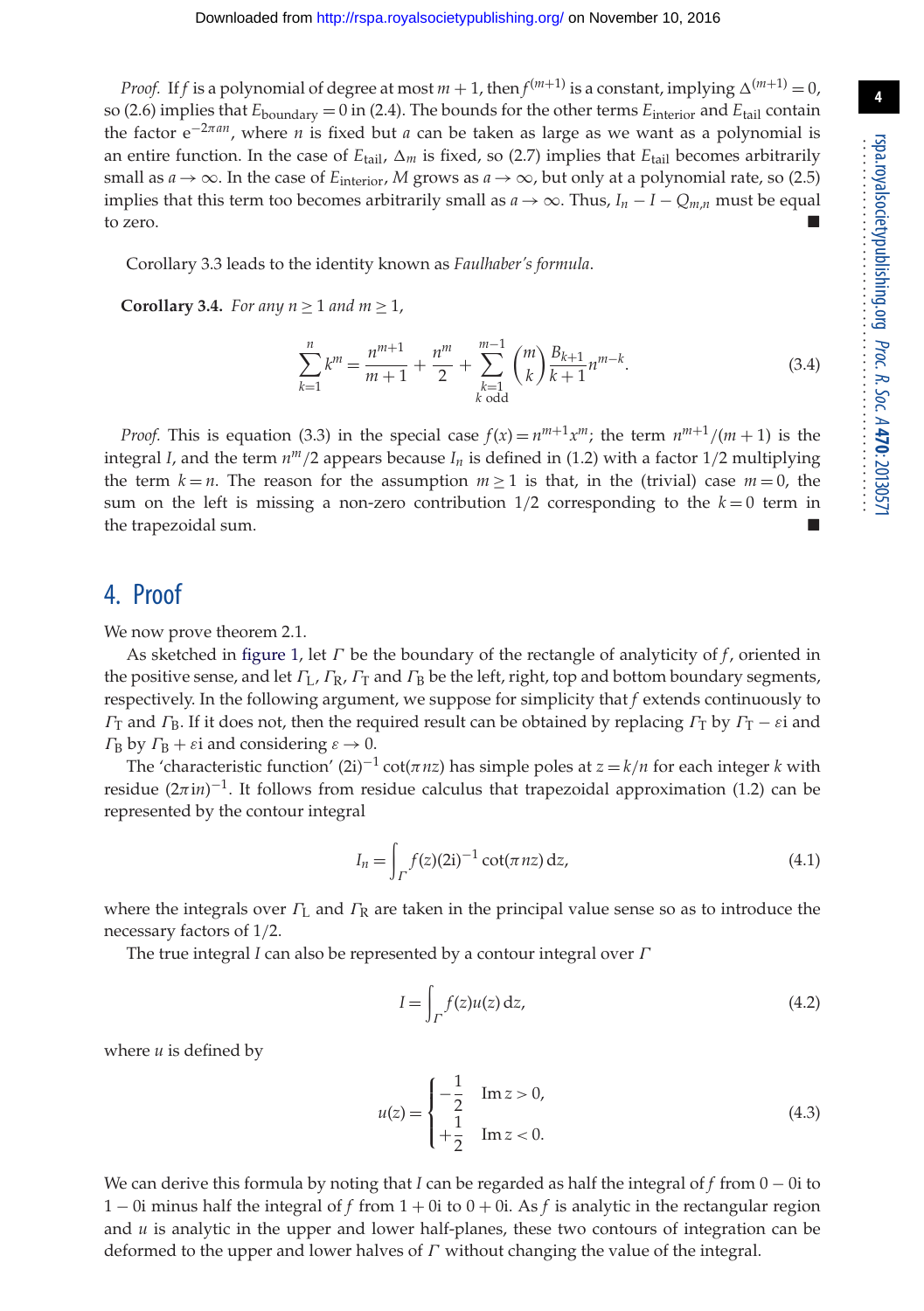*Proof.* If *f* is a polynomial of degree at most  $m + 1$ , then  $f^{(m+1)}$  is a constant, implying  $\Delta^{(m+1)} = 0$ , so (2.6) implies that *E*boundary = 0 in (2.4). The bounds for the other terms *E*interior and *E*tail contain the factor e−2π*an*, where *n* is fixed but *a* can be taken as large as we want as a polynomial is an entire function. In the case of  $E_{\text{tail}}$ ,  $\Delta_m$  is fixed, so (2.7) implies that  $E_{\text{tail}}$  becomes arbitrarily small as  $a \rightarrow \infty$ . In the case of  $E_{interior}$ , *M* grows as  $a \rightarrow \infty$ , but only at a polynomial rate, so (2.5) implies that this term too becomes arbitrarily small as  $a \rightarrow \infty$ . Thus,  $I_n - I - Q_{m,n}$  must be equal to zero.

Corollary 3.3 leads to the identity known as *Faulhaber's formula*.

**Corollary 3.4.** *For any*  $n \ge 1$  *and*  $m \ge 1$ *,* 

$$
\sum_{k=1}^{n} k^{m} = \frac{n^{m+1}}{m+1} + \frac{n^{m}}{2} + \sum_{\substack{k=1\\k \text{ odd}}}^{m-1} {m \choose k} \frac{B_{k+1}}{k+1} n^{m-k}.
$$
 (3.4)

*Proof.* This is equation (3.3) in the special case  $f(x) = n^{m+1}x^m$ ; the term  $n^{m+1}/(m+1)$  is the integral *I*, and the term  $n^m/2$  appears because  $I_n$  is defined in (1.2) with a factor 1/2 multiplying the term  $k = n$ . The reason for the assumption  $m > 1$  is that, in the (trivial) case  $m = 0$ , the sum on the left is missing a non-zero contribution  $1/2$  corresponding to the  $k=0$  term in the trapezoidal sum.

#### 4. Proof

We now prove theorem 2.1.

As sketched in [figure 1,](#page-2-0) let Γ be the boundary of the rectangle of analyticity of *f*, oriented in the positive sense, and let  $\Gamma_L$ ,  $\Gamma_R$ ,  $\Gamma_T$  and  $\Gamma_R$  be the left, right, top and bottom boundary segments, respectively. In the following argument, we suppose for simplicity that *f* extends continuously to  $\Gamma_{\rm T}$  and  $\Gamma_{\rm B}$ . If it does not, then the required result can be obtained by replacing  $\Gamma_{\rm T}$  by  $\Gamma_{\rm T} - \varepsilon$  and  $\Gamma_{\rm B}$  by  $\Gamma_{\rm B} + \varepsilon$ i and considering  $\varepsilon \to 0$ .

The 'characteristic function'  $(2i)^{-1}$  cot $(\pi n z)$  has simple poles at  $z = k/n$  for each integer *k* with residue (2πi*n*)<sup>-1</sup>. It follows from residue calculus that trapezoidal approximation (1.2) can be represented by the contour integral

$$
I_n = \int_{\Gamma} f(z) (2i)^{-1} \cot(\pi nz) \, dz,
$$
 (4.1)

where the integrals over  $\Gamma_L$  and  $\Gamma_R$  are taken in the principal value sense so as to introduce the necessary factors of 1/2.

The true integral *I* can also be represented by a contour integral over Γ

$$
I = \int_{\Gamma} f(z)u(z) dz,
$$
\n(4.2)

where *u* is defined by

$$
u(z) = \begin{cases} -\frac{1}{2} & \text{Im } z > 0, \\ +\frac{1}{2} & \text{Im } z < 0. \end{cases}
$$
 (4.3)

We can derive this formula by noting that *I* can be regarded as half the integral of *f* from 0 − 0i to 1 − 0i minus half the integral of *f* from 1 + 0i to 0 + 0i. As *f* is analytic in the rectangular region and  $u$  is analytic in the upper and lower half-planes, these two contours of integration can be deformed to the upper and lower halves of  $\Gamma$  without changing the value of the integral.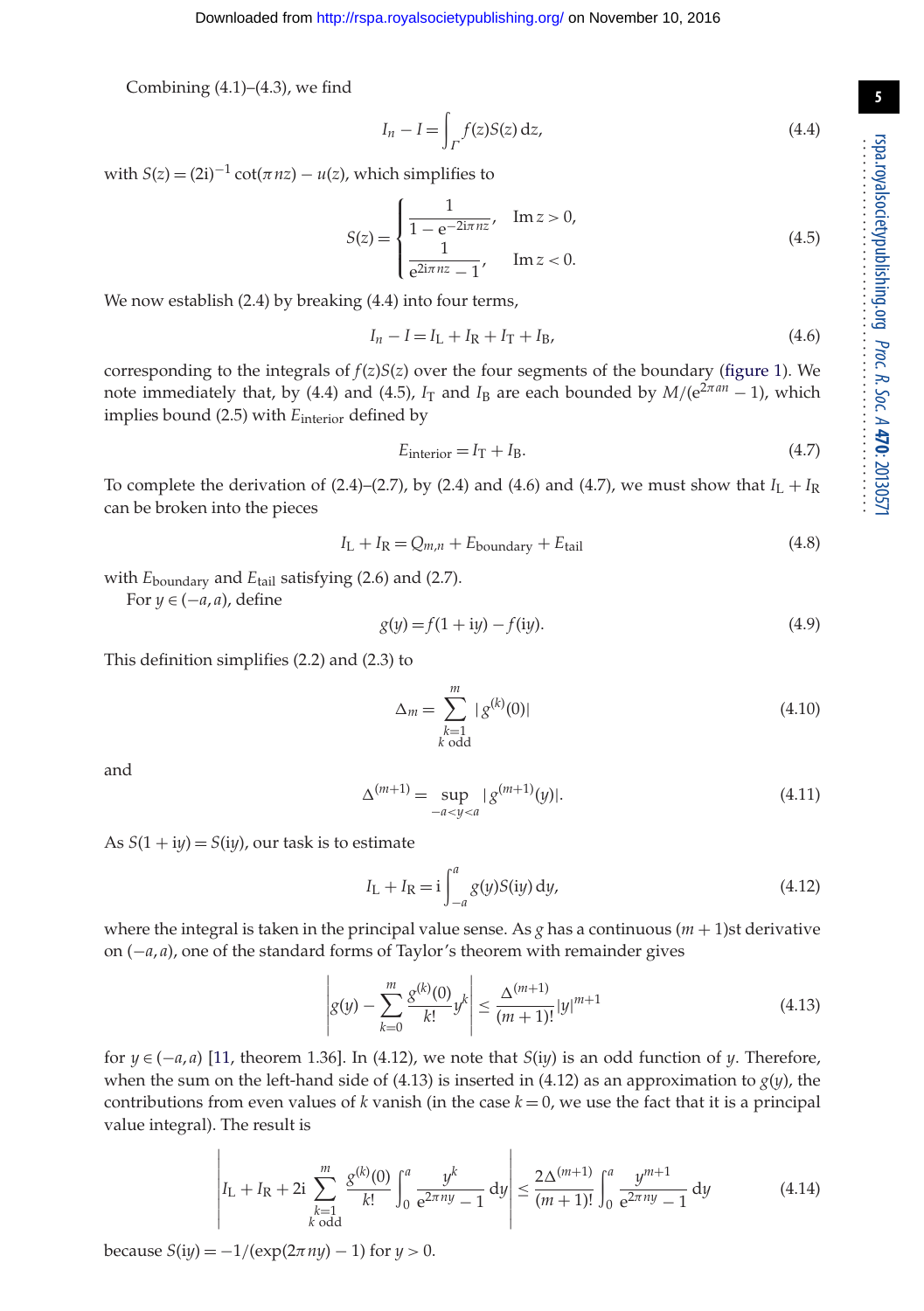Combining  $(4.1)$ – $(4.3)$ , we find

$$
I_n - I = \int_{\Gamma} f(z)S(z) dz,
$$
\n(4.4)

with  $S(z) = (2i)^{-1} \cot(\pi nz) - u(z)$ , which simplifies to

$$
S(z) = \begin{cases} \frac{1}{1 - e^{-2i\pi nz}}, & \text{Im } z > 0, \\ \frac{1}{e^{2i\pi nz} - 1}, & \text{Im } z < 0. \end{cases}
$$
(4.5)

We now establish (2.4) by breaking (4.4) into four terms,

$$
I_n - I = I_L + I_R + I_T + I_B,
$$
\n(4.6)

corresponding to the integrals of  $f(z)S(z)$  over the four segments of the boundary [\(figure 1\)](#page-2-0). We note immediately that, by (4.4) and (4.5),  $I_T$  and  $I_B$  are each bounded by  $M/(e^{2\pi a n} - 1)$ , which implies bound (2.5) with *E*interior defined by

$$
E_{\text{interior}} = I_{\text{T}} + I_{\text{B}}.\tag{4.7}
$$

To complete the derivation of (2.4)–(2.7), by (2.4) and (4.6) and (4.7), we must show that  $I_L + I_R$ can be broken into the pieces

$$
I_{\rm L} + I_{\rm R} = Q_{m,n} + E_{\rm boundary} + E_{\rm tail}
$$
\n(4.8)

with *E*boundary and *E*tail satisfying (2.6) and (2.7).

For  $y \in (-a, a)$ , define

$$
g(y) = f(1 + iy) - f(iy).
$$
 (4.9)

This definition simplifies (2.2) and (2.3) to

$$
\Delta_m = \sum_{\substack{k=1\\k \text{ odd}}}^m |g^{(k)}(0)| \tag{4.10}
$$

and

$$
\Delta^{(m+1)} = \sup_{-a < y < a} |g^{(m+1)}(y)|. \tag{4.11}
$$

As  $S(1 + iy) = S(iy)$ , our task is to estimate

$$
I_{\rm L} + I_{\rm R} = i \int_{-a}^{a} g(y) S(iy) \, dy,\tag{4.12}
$$

where the integral is taken in the principal value sense. As *g* has a continuous  $(m + 1)$ st derivative on (−*a*, *a*), one of the standard forms of Taylor's theorem with remainder gives

$$
\left| g(y) - \sum_{k=0}^{m} \frac{g^{(k)}(0)}{k!} y^{k} \right| \le \frac{\Delta^{(m+1)}}{(m+1)!} |y|^{m+1}
$$
\n(4.13)

for  $y \in (-a, a)$  [\[11,](#page-8-8) theorem 1.36]. In (4.12), we note that *S*(i*y*) is an odd function of *y*. Therefore, when the sum on the left-hand side of (4.13) is inserted in (4.12) as an approximation to  $g(y)$ , the contributions from even values of *k* vanish (in the case  $k = 0$ , we use the fact that it is a principal value integral). The result is

$$
\left| I_{\text{L}} + I_{\text{R}} + 2i \sum_{\substack{k=1\\k \text{ odd}}}^m \frac{g^{(k)}(0)}{k!} \int_0^a \frac{y^k}{e^{2\pi ny} - 1} \, \mathrm{d}y \right| \le \frac{2\Delta^{(m+1)}}{(m+1)!} \int_0^a \frac{y^{m+1}}{e^{2\pi ny} - 1} \, \mathrm{d}y \tag{4.14}
$$

because  $S(iy) = -1/(\exp(2\pi ny) - 1)$  for  $y > 0$ .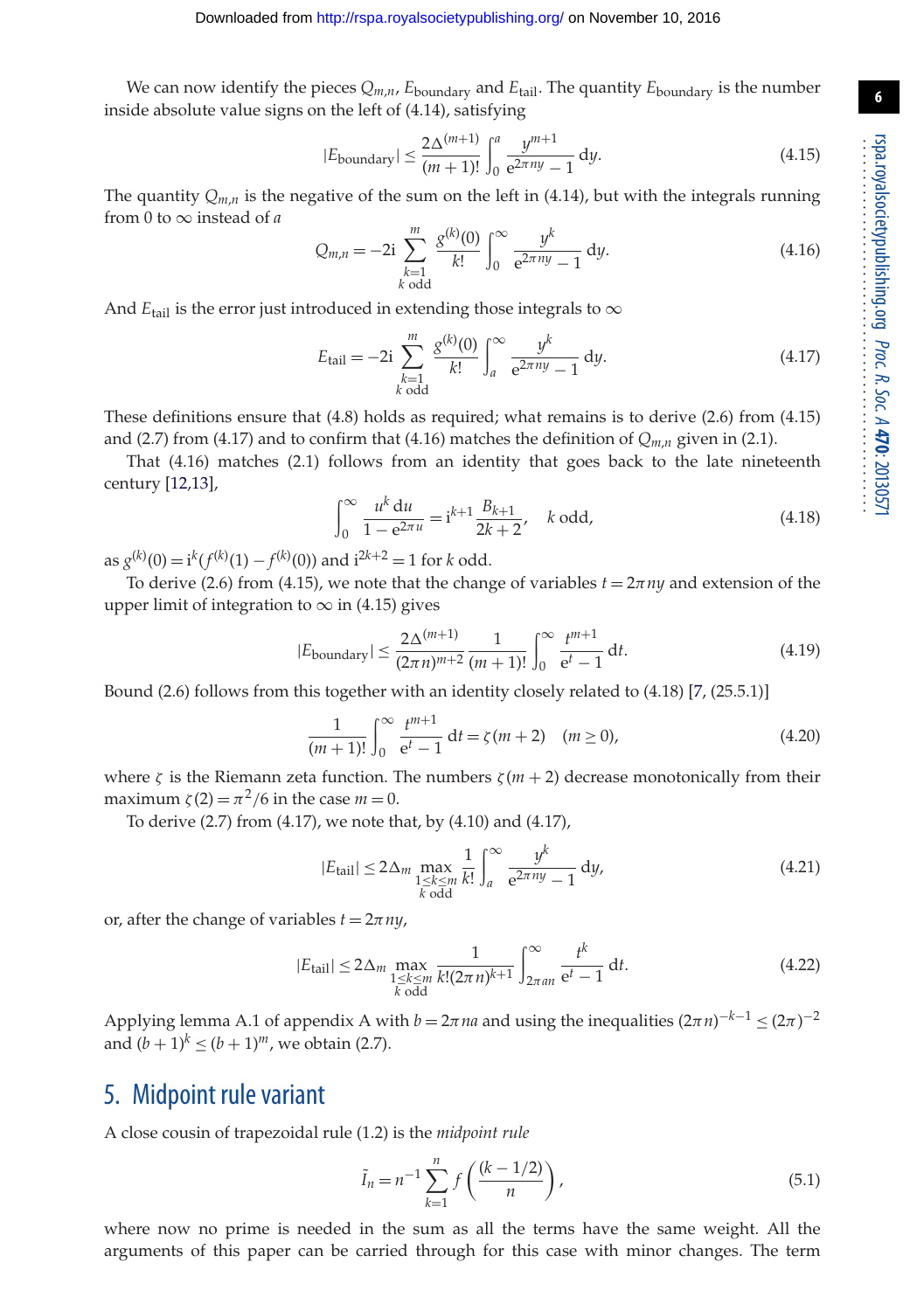We can now identify the pieces  $Q_{m,n}$ ,  $E_{\text{boundary}}$  and  $E_{\text{tail}}$ . The quantity  $E_{\text{boundary}}$  is the number inside absolute value signs on the left of (4.14), satisfying

$$
|E_{\text{boundary}}| \le \frac{2\Delta^{(m+1)}}{(m+1)!} \int_0^a \frac{y^{m+1}}{e^{2\pi ny} - 1} \, \mathrm{d}y. \tag{4.15}
$$

The quantity  $Q_{m,n}$  is the negative of the sum on the left in (4.14), but with the integrals running from 0 to ∞ instead of *a*

$$
Q_{m,n} = -2i \sum_{\substack{k=1\\k \text{ odd}}}^m \frac{g^{(k)}(0)}{k!} \int_0^\infty \frac{y^k}{e^{2\pi ny} - 1} \, \mathrm{d}y. \tag{4.16}
$$

And  $E_{\text{tail}}$  is the error just introduced in extending those integrals to  $\infty$ 

$$
E_{\text{tail}} = -2i \sum_{\substack{k=1\\k \text{ odd}}}^{m} \frac{g^{(k)}(0)}{k!} \int_{a}^{\infty} \frac{y^{k}}{e^{2\pi ny} - 1} \, \mathrm{d}y. \tag{4.17}
$$

These definitions ensure that (4.8) holds as required; what remains is to derive (2.6) from (4.15) and (2.7) from (4.17) and to confirm that (4.16) matches the definition of  $Q_{m,n}$  given in (2.1).

That (4.16) matches (2.1) follows from an identity that goes back to the late nineteenth century [\[12](#page-8-9)[,13\]](#page-8-10),

$$
\int_0^\infty \frac{u^k \, du}{1 - e^{2\pi u}} = i^{k+1} \frac{B_{k+1}}{2k+2}, \quad k \text{ odd},
$$
\n(4.18)

as  $g^{(k)}(0) = i^k (f^{(k)}(1) - f^{(k)}(0))$  and  $i^{2k+2} = 1$  for *k* odd.

To derive (2.6) from (4.15), we note that the change of variables  $t = 2\pi n y$  and extension of the upper limit of integration to  $\infty$  in (4.15) gives

$$
|E_{\text{boundary}}| \le \frac{2\Delta^{(m+1)}}{(2\pi n)^{m+2}} \frac{1}{(m+1)!} \int_0^\infty \frac{t^{m+1}}{e^t - 1} dt. \tag{4.19}
$$

Bound (2.6) follows from this together with an identity closely related to (4.18) [\[7,](#page-8-4) (25.5.1)]

$$
\frac{1}{(m+1)!} \int_0^\infty \frac{t^{m+1}}{e^t - 1} dt = \zeta(m+2) \quad (m \ge 0),
$$
 (4.20)

where  $\zeta$  is the Riemann zeta function. The numbers  $\zeta$  ( $m + 2$ ) decrease monotonically from their maximum  $\zeta(2) = \pi^2/6$  in the case  $m = 0$ .

To derive (2.7) from (4.17), we note that, by (4.10) and (4.17),

$$
|E_{\text{tail}}| \le 2\Delta_m \max_{\substack{1 \le k \le m \\ k \text{ odd}}} \frac{1}{k!} \int_a^\infty \frac{y^k}{e^{2\pi ny} - 1} \, \mathrm{d}y,\tag{4.21}
$$

or, after the change of variables  $t = 2\pi n y$ ,

$$
|E_{\text{tail}}| \le 2\Delta_m \max_{\substack{1 \le k \le m \\ k \text{ odd}}} \frac{1}{k!(2\pi n)^{k+1}} \int_{2\pi a_n}^{\infty} \frac{t^k}{e^t - 1} dt.
$$
 (4.22)

Applying lemma A.1 of appendix A with  $b = 2\pi n a$  and using the inequalities  $(2\pi n)^{-k-1} \le (2\pi)^{-2}$ and  $(b + 1)^k \le (b + 1)^m$ , we obtain (2.7).

#### 5. Midpoint rule variant

A close cousin of trapezoidal rule (1.2) is the *midpoint rule*

$$
\tilde{I}_n = n^{-1} \sum_{k=1}^n f\left(\frac{(k-1/2)}{n}\right),
$$
\n(5.1)

where now no prime is needed in the sum as all the terms have the same weight. All the arguments of this paper can be carried through for this case with minor changes. The term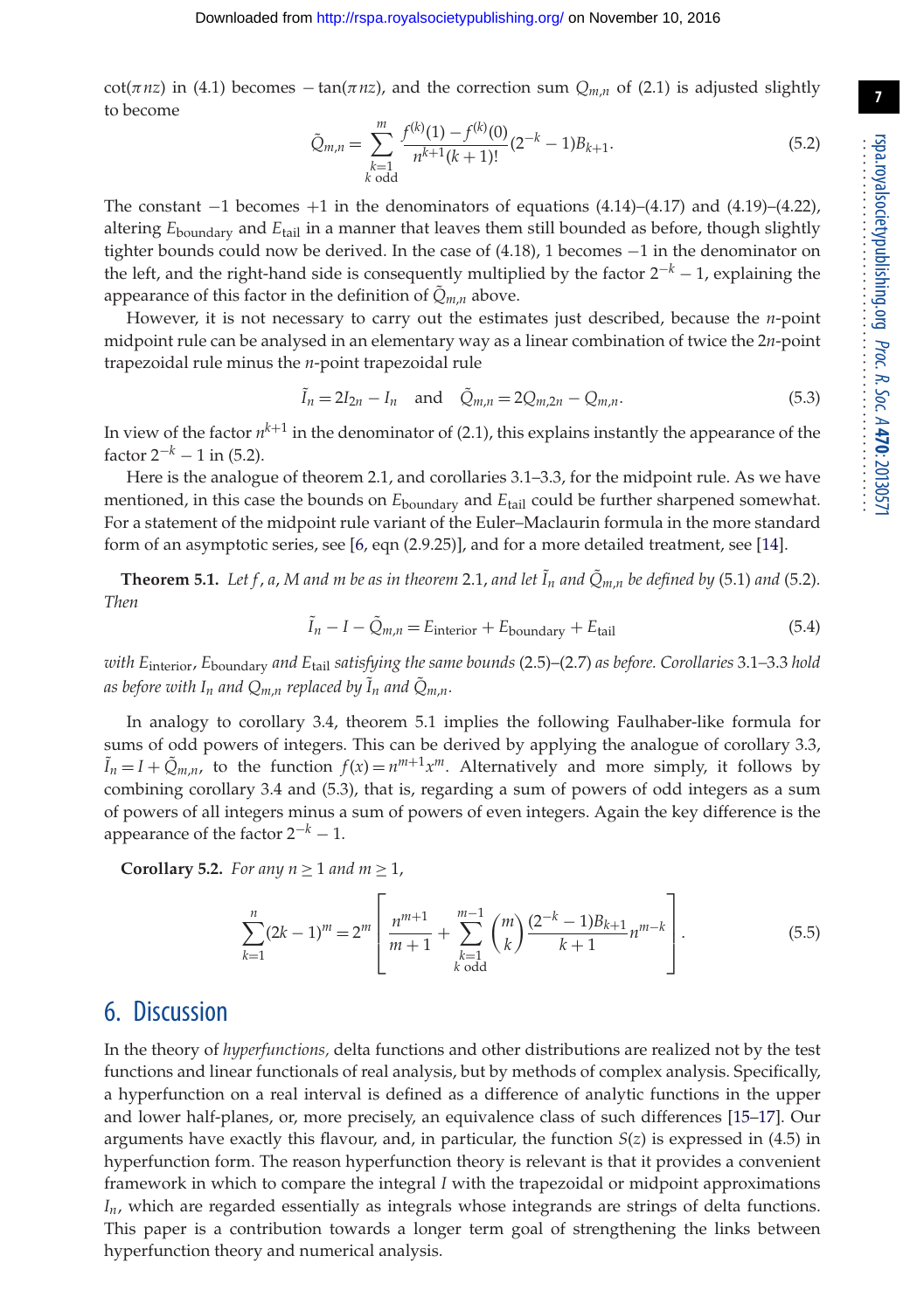cot( $\pi$ *nz*) in (4.1) becomes − tan( $\pi$ *nz*), and the correction sum  $Q_{m,n}$  of (2.1) is adjusted slightly to become

$$
\tilde{Q}_{m,n} = \sum_{\substack{k=1\\k \text{ odd}}}^{m} \frac{f^{(k)}(1) - f^{(k)}(0)}{n^{k+1}(k+1)!} (2^{-k} - 1) B_{k+1}.
$$
\n(5.2)

The constant  $-1$  becomes  $+1$  in the denominators of equations (4.14)–(4.17) and (4.19)–(4.22), altering *E*boundary and *E*tail in a manner that leaves them still bounded as before, though slightly tighter bounds could now be derived. In the case of (4.18), 1 becomes −1 in the denominator on the left, and the right-hand side is consequently multiplied by the factor 2−*<sup>k</sup>* − 1, explaining the appearance of this factor in the definition of  $Q_{m,n}$  above.

However, it is not necessary to carry out the estimates just described, because the *n*-point midpoint rule can be analysed in an elementary way as a linear combination of twice the 2*n*-point trapezoidal rule minus the *n*-point trapezoidal rule

$$
\tilde{I}_n = 2I_{2n} - I_n
$$
 and  $\tilde{Q}_{m,n} = 2Q_{m,2n} - Q_{m,n}.$  (5.3)

In view of the factor  $n^{k+1}$  in the denominator of (2.1), this explains instantly the appearance of the factor  $2^{-k} - 1$  in (5.2).

Here is the analogue of theorem 2.1, and corollaries 3.1–3.3, for the midpoint rule. As we have mentioned, in this case the bounds on *E*boundary and *E*tail could be further sharpened somewhat. For a statement of the midpoint rule variant of the Euler–Maclaurin formula in the more standard form of an asymptotic series, see [\[6,](#page-8-3) eqn (2.9.25)], and for a more detailed treatment, see [\[14\]](#page-8-11).

**Theorem 5.1.** Let f, a, M and m be as in theorem 2.1, and let  $\tilde{I}_n$  and  $\tilde{Q}_{m,n}$  be defined by (5.1) and (5.2). *Then*

$$
\tilde{I}_n - I - \tilde{Q}_{m,n} = E_{\text{interior}} + E_{\text{boundary}} + E_{\text{tail}} \tag{5.4}
$$

*with E*interior, *E*boundary *and E*tail *satisfying the same bounds* (2.5)–(2.7) *as before. Corollaries* 3.1*–*3.3 *hold as before with*  $I_n$  *and*  $Q_{m,n}$  *replaced by*  $\tilde{I}_n$  *and*  $\tilde{Q}_{m,n}$ *.* 

In analogy to corollary 3.4, theorem 5.1 implies the following Faulhaber-like formula for sums of odd powers of integers. This can be derived by applying the analogue of corollary 3.3,  $\tilde{I}_n = I + \tilde{Q}_{m,n}$ , to the function  $f(x) = n^{m+1}x^m$ . Alternatively and more simply, it follows by combining corollary 3.4 and (5.3), that is, regarding a sum of powers of odd integers as a sum of powers of all integers minus a sum of powers of even integers. Again the key difference is the appearance of the factor  $2^{-k} - 1$ .

**Corollary 5.2.** *For any n*  $\geq 1$  *and m*  $\geq 1$ *,* 

$$
\sum_{k=1}^{n} (2k-1)^m = 2^m \left[ \frac{n^{m+1}}{m+1} + \sum_{\substack{k=1 \ k \text{ odd}}}^{m-1} {m \choose k} \frac{(2^{-k}-1)B_{k+1}}{k+1} n^{m-k} \right].
$$
 (5.5)

#### 6. Discussion

In the theory of *hyperfunctions,* delta functions and other distributions are realized not by the test functions and linear functionals of real analysis, but by methods of complex analysis. Specifically, a hyperfunction on a real interval is defined as a difference of analytic functions in the upper and lower half-planes, or, more precisely, an equivalence class of such differences [\[15–](#page-8-12)[17\]](#page-8-13). Our arguments have exactly this flavour, and, in particular, the function *S*(*z*) is expressed in (4.5) in hyperfunction form. The reason hyperfunction theory is relevant is that it provides a convenient framework in which to compare the integral *I* with the trapezoidal or midpoint approximations *In*, which are regarded essentially as integrals whose integrands are strings of delta functions. This paper is a contribution towards a longer term goal of strengthening the links between hyperfunction theory and numerical analysis.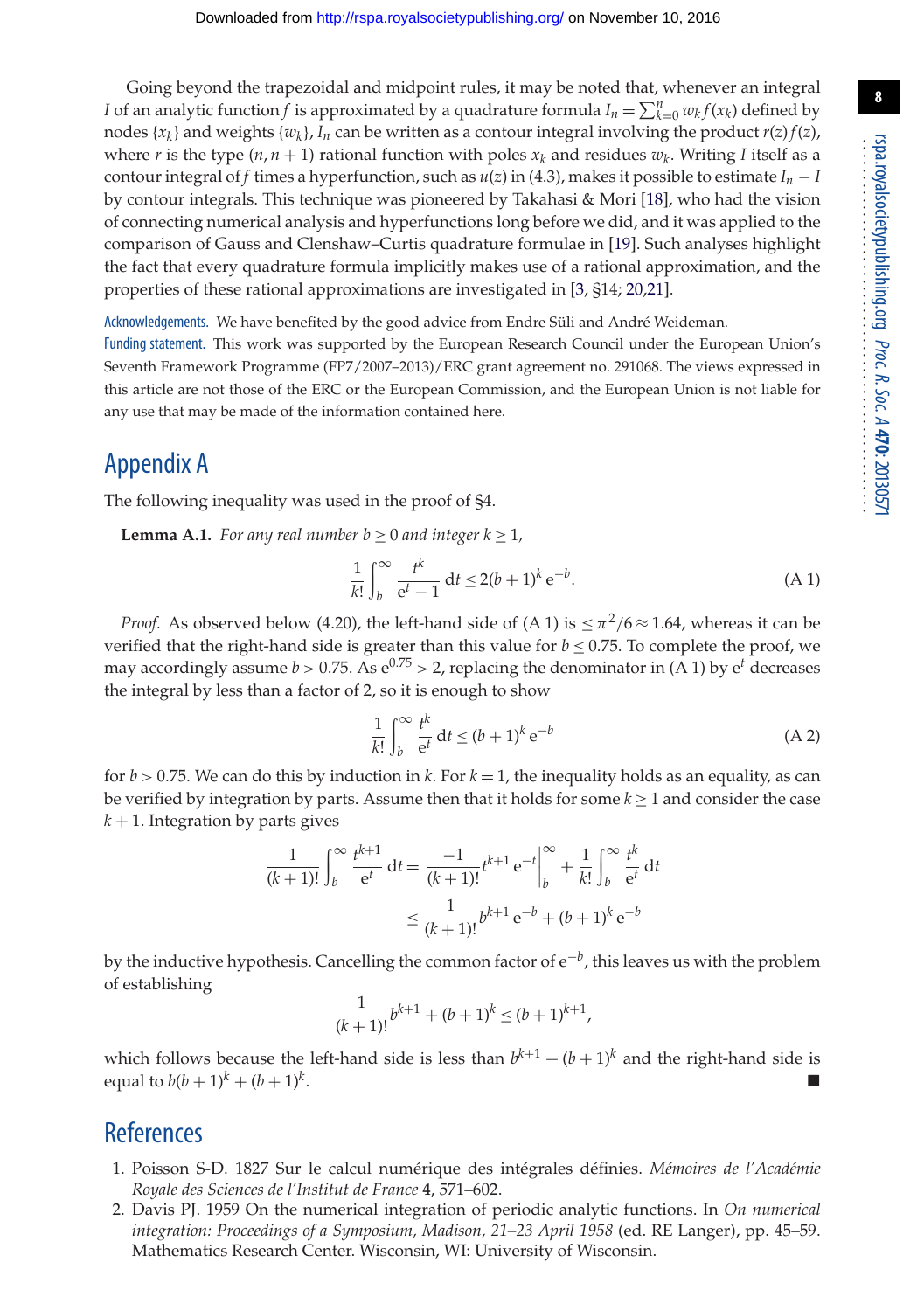Going beyond the trapezoidal and midpoint rules, it may be noted that, whenever an integral *I* of an analytic function *f* is approximated by a quadrature formula  $I_n = \sum_{k=0}^n w_k f(x_k)$  defined by nodes  $\{x_k\}$  and weights  $\{w_k\}$ ,  $I_n$  can be written as a contour integral involving the product  $r(z) f(z)$ , where *r* is the type  $(n, n + 1)$  rational function with poles  $x_k$  and residues  $w_k$ . Writing *I* itself as a contour integral of *f* times a hyperfunction, such as  $u(z)$  in (4.3), makes it possible to estimate  $I_n - I$ by contour integrals. This technique was pioneered by Takahasi & Mori [\[18\]](#page-8-14), who had the vision of connecting numerical analysis and hyperfunctions long before we did, and it was applied to the comparison of Gauss and Clenshaw–Curtis quadrature formulae in [\[19\]](#page-8-15). Such analyses highlight the fact that every quadrature formula implicitly makes use of a rational approximation, and the properties of these rational approximations are investigated in [\[3,](#page-8-0) §14; [20,](#page-8-16)[21\]](#page-8-17).

Acknowledgements. We have benefited by the good advice from Endre Süli and André Weideman.

Funding statement. This work was supported by the European Research Council under the European Union's Seventh Framework Programme (FP7/2007–2013)/ERC grant agreement no. 291068. The views expressed in this article are not those of the ERC or the European Commission, and the European Union is not liable for any use that may be made of the information contained here.

# Appendix A

The following inequality was used in the proof of §4.

**Lemma A.1.** *For any real number b*  $\geq 0$  *and integer*  $k \geq 1$ *,* 

$$
\frac{1}{k!} \int_{b}^{\infty} \frac{t^k}{e^t - 1} dt \le 2(b+1)^k e^{-b}.
$$
 (A1)

*Proof.* As observed below (4.20), the left-hand side of (A 1) is  $\langle \pi^2/6 \approx 1.64$ , whereas it can be verified that the right-hand side is greater than this value for  $b \le 0.75$ . To complete the proof, we may accordingly assume  $b > 0.75$ . As  $e^{0.75} > 2$ , replacing the denominator in (A 1) by  $e^t$  decreases the integral by less than a factor of 2, so it is enough to show

$$
\frac{1}{k!} \int_{b}^{\infty} \frac{t^{k}}{e^{t}} dt \le (b+1)^{k} e^{-b}
$$
 (A 2)

for *b* > 0.75. We can do this by induction in *k*. For *k* = 1, the inequality holds as an equality, as can be verified by integration by parts. Assume then that it holds for some  $k \geq 1$  and consider the case  $k + 1$ . Integration by parts gives

$$
\frac{1}{(k+1)!} \int_b^{\infty} \frac{t^{k+1}}{e^t} dt = \frac{-1}{(k+1)!} t^{k+1} e^{-t} \Big|_b^{\infty} + \frac{1}{k!} \int_b^{\infty} \frac{t^k}{e^t} dt
$$

$$
\leq \frac{1}{(k+1)!} b^{k+1} e^{-b} + (b+1)^k e^{-b}
$$

by the inductive hypothesis. Cancelling the common factor of e−*b*, this leaves us with the problem of establishing

$$
\frac{1}{(k+1)!}b^{k+1} + (b+1)^k \le (b+1)^{k+1},
$$

which follows because the left-hand side is less than  $b^{k+1} + (b+1)^k$  and the right-hand side is equal to  $b(b+1)^k + (b+1)^k$ .

# <span id="page-7-0"></span>**References**

- 1. Poisson S-D. 1827 Sur le calcul numérique des intégrales définies. *Mémoires de l'Académie Royale des Sciences de l'Institut de France* **4**, 571–602.
- <span id="page-7-1"></span>2. Davis PJ. 1959 On the numerical integration of periodic analytic functions. In *On numerical integration: Proceedings of a Symposium, Madison, 21–23 April 1958* (ed. RE Langer), pp. 45–59. Mathematics Research Center. Wisconsin, WI: University of Wisconsin.